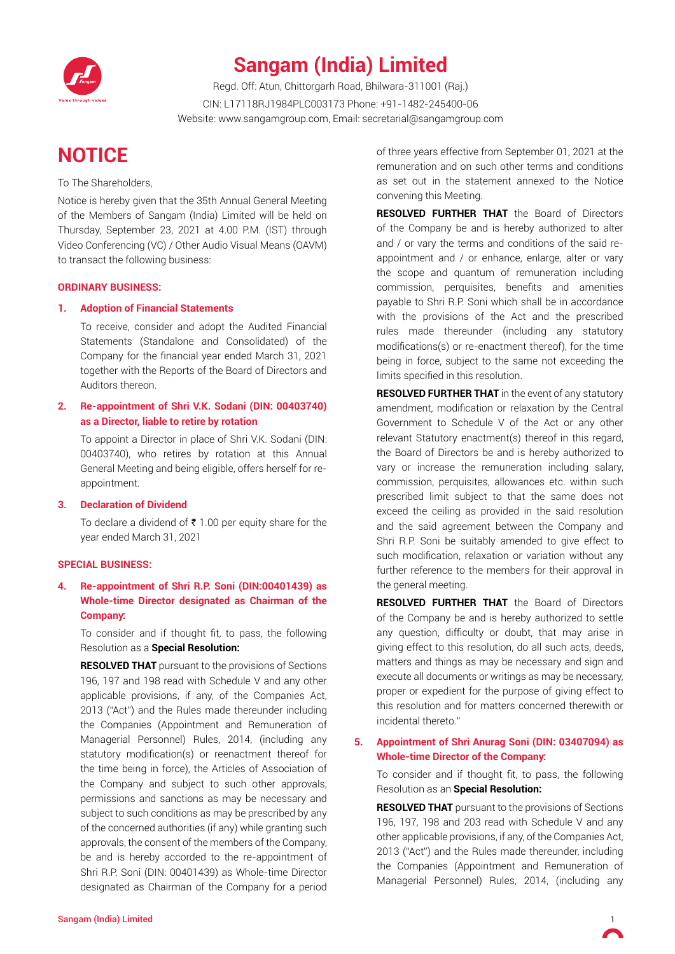

# **Sangam (India) Limited**

Regd. Off: Atun, Chittorgarh Road, Bhilwara-311001 (Raj.) CIN: L17118RJ1984PLC003173 Phone: +91-1482-245400-06 Website: www.sangamgroup.com, Email: secretarial@sangamgroup.com

# **Notice**

To The Shareholders,

Notice is hereby given that the 35th Annual General Meeting of the Members of Sangam (India) Limited will be held on Thursday, September 23, 2021 at 4.00 P.M. (IST) through Video Conferencing (VC) / Other Audio Visual Means (OAVM) to transact the following business:

#### **ORDINARY BUSINESS:**

#### **1. Adoption of Financial Statements**

To receive, consider and adopt the Audited Financial Statements (Standalone and Consolidated) of the Company for the financial year ended March 31, 2021 together with the Reports of the Board of Directors and Auditors thereon.

## **2. Re-appointment of Shri V.K. Sodani (DIN: 00403740) as a Director, liable to retire by rotation**

To appoint a Director in place of Shri V.K. Sodani (DIN: 00403740), who retires by rotation at this Annual General Meeting and being eligible, offers herself for reappointment.

#### **3. Declaration of Dividend**

To declare a dividend of  $\bar{\tau}$  1.00 per equity share for the year ended March 31, 2021

#### **SPECIAL BUSINESS:**

## **4. Re-appointment of Shri R.P. Soni (DIN:00401439) as Whole-time Director designated as Chairman of the Company:**

To consider and if thought fit, to pass, the following Resolution as a **Special Resolution:**

**RESOLVED THAT** pursuant to the provisions of Sections 196, 197 and 198 read with Schedule V and any other applicable provisions, if any, of the Companies Act, 2013 ("Act") and the Rules made thereunder including the Companies (Appointment and Remuneration of Managerial Personnel) Rules, 2014, (including any statutory modification(s) or reenactment thereof for the time being in force), the Articles of Association of the Company and subject to such other approvals, permissions and sanctions as may be necessary and subject to such conditions as may be prescribed by any of the concerned authorities (if any) while granting such approvals, the consent of the members of the Company, be and is hereby accorded to the re-appointment of Shri R.P. Soni (DIN: 00401439) as Whole-time Director designated as Chairman of the Company for a period

of three years effective from September 01, 2021 at the remuneration and on such other terms and conditions as set out in the statement annexed to the Notice convening this Meeting.

**RESOLVED FURTHER THAT** the Board of Directors of the Company be and is hereby authorized to alter and / or vary the terms and conditions of the said reappointment and / or enhance, enlarge, alter or vary the scope and quantum of remuneration including commission, perquisites, benefits and amenities payable to Shri R.P. Soni which shall be in accordance with the provisions of the Act and the prescribed rules made thereunder (including any statutory modifications(s) or re-enactment thereof), for the time being in force, subject to the same not exceeding the limits specified in this resolution.

**RESOLVED FURTHER THAT** in the event of any statutory amendment, modification or relaxation by the Central Government to Schedule V of the Act or any other relevant Statutory enactment(s) thereof in this regard, the Board of Directors be and is hereby authorized to vary or increase the remuneration including salary, commission, perquisites, allowances etc. within such prescribed limit subject to that the same does not exceed the ceiling as provided in the said resolution and the said agreement between the Company and Shri R.P. Soni be suitably amended to give effect to such modification, relaxation or variation without any further reference to the members for their approval in the general meeting.

**RESOLVED FURTHER THAT** the Board of Directors of the Company be and is hereby authorized to settle any question, difficulty or doubt, that may arise in giving effect to this resolution, do all such acts, deeds, matters and things as may be necessary and sign and execute all documents or writings as may be necessary, proper or expedient for the purpose of giving effect to this resolution and for matters concerned therewith or incidental thereto."

## **5. Appointment of Shri Anurag Soni (DIN: 03407094) as Whole-time Director of the Company:**

To consider and if thought fit, to pass, the following Resolution as an **Special Resolution:**

**RESOLVED THAT** pursuant to the provisions of Sections 196, 197, 198 and 203 read with Schedule V and any other applicable provisions, if any, of the Companies Act, 2013 ("Act") and the Rules made thereunder, including the Companies (Appointment and Remuneration of Managerial Personnel) Rules, 2014, (including any

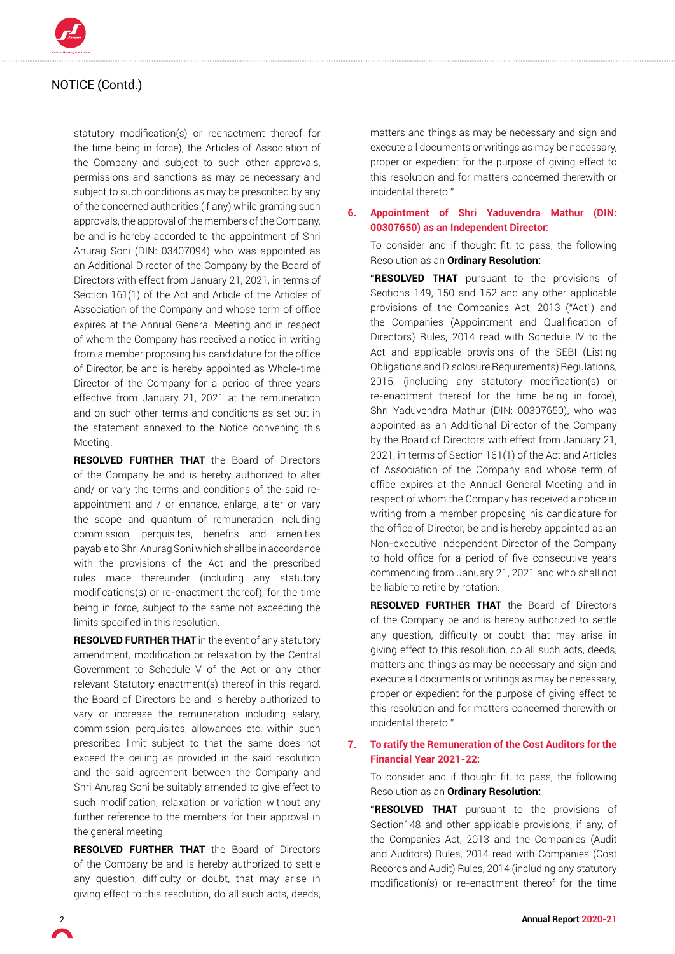

statutory modification(s) or reenactment thereof for the time being in force), the Articles of Association of the Company and subject to such other approvals, permissions and sanctions as may be necessary and subject to such conditions as may be prescribed by any of the concerned authorities (if any) while granting such approvals, the approval of the members of the Company, be and is hereby accorded to the appointment of Shri Anurag Soni (DIN: 03407094) who was appointed as an Additional Director of the Company by the Board of Directors with effect from January 21, 2021, in terms of Section 161(1) of the Act and Article of the Articles of Association of the Company and whose term of office expires at the Annual General Meeting and in respect of whom the Company has received a notice in writing from a member proposing his candidature for the office of Director, be and is hereby appointed as Whole-time Director of the Company for a period of three years effective from January 21, 2021 at the remuneration and on such other terms and conditions as set out in the statement annexed to the Notice convening this Meeting.

**RESOLVED FURTHER THAT** the Board of Directors of the Company be and is hereby authorized to alter and/ or vary the terms and conditions of the said reappointment and / or enhance, enlarge, alter or vary the scope and quantum of remuneration including commission, perquisites, benefits and amenities payable to Shri Anurag Soni which shall be in accordance with the provisions of the Act and the prescribed rules made thereunder (including any statutory modifications(s) or re-enactment thereof), for the time being in force, subject to the same not exceeding the limits specified in this resolution.

**RESOLVED FURTHER THAT** in the event of any statutory amendment, modification or relaxation by the Central Government to Schedule V of the Act or any other relevant Statutory enactment(s) thereof in this regard, the Board of Directors be and is hereby authorized to vary or increase the remuneration including salary, commission, perquisites, allowances etc. within such prescribed limit subject to that the same does not exceed the ceiling as provided in the said resolution and the said agreement between the Company and Shri Anurag Soni be suitably amended to give effect to such modification, relaxation or variation without any further reference to the members for their approval in the general meeting.

**RESOLVED FURTHER THAT** the Board of Directors of the Company be and is hereby authorized to settle any question, difficulty or doubt, that may arise in giving effect to this resolution, do all such acts, deeds,

matters and things as may be necessary and sign and execute all documents or writings as may be necessary, proper or expedient for the purpose of giving effect to this resolution and for matters concerned therewith or incidental thereto."

**6. Appointment of Shri Yaduvendra Mathur (DIN: 00307650) as an Independent Director:**

To consider and if thought fit, to pass, the following Resolution as an **Ordinary Resolution:**

**"RESOLVED THAT** pursuant to the provisions of Sections 149, 150 and 152 and any other applicable provisions of the Companies Act, 2013 ("Act") and the Companies (Appointment and Qualification of Directors) Rules, 2014 read with Schedule IV to the Act and applicable provisions of the SEBI (Listing Obligations and Disclosure Requirements) Regulations, 2015, (including any statutory modification(s) or re-enactment thereof for the time being in force), Shri Yaduvendra Mathur (DIN: 00307650), who was appointed as an Additional Director of the Company by the Board of Directors with effect from January 21, 2021, in terms of Section 161(1) of the Act and Articles of Association of the Company and whose term of office expires at the Annual General Meeting and in respect of whom the Company has received a notice in writing from a member proposing his candidature for the office of Director, be and is hereby appointed as an Non-executive Independent Director of the Company to hold office for a period of five consecutive years commencing from January 21, 2021 and who shall not be liable to retire by rotation.

**RESOLVED FURTHER THAT** the Board of Directors of the Company be and is hereby authorized to settle any question, difficulty or doubt, that may arise in giving effect to this resolution, do all such acts, deeds, matters and things as may be necessary and sign and execute all documents or writings as may be necessary, proper or expedient for the purpose of giving effect to this resolution and for matters concerned therewith or incidental thereto."

#### **7. To ratify the Remuneration of the Cost Auditors for the Financial Year 2021-22:**

To consider and if thought fit, to pass, the following Resolution as an **Ordinary Resolution:**

**"RESOLVED THAT** pursuant to the provisions of Section148 and other applicable provisions, if any, of the Companies Act, 2013 and the Companies (Audit and Auditors) Rules, 2014 read with Companies (Cost Records and Audit) Rules, 2014 (including any statutory modification(s) or re-enactment thereof for the time

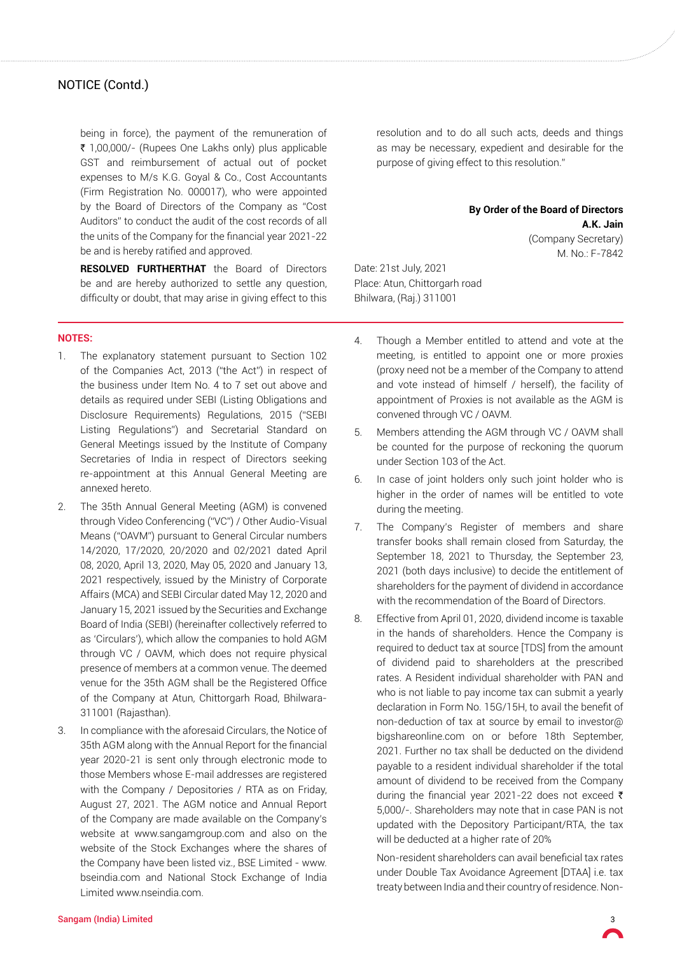being in force), the payment of the remuneration of ₹ 1,00,000/- (Rupees One Lakhs only) plus applicable GST and reimbursement of actual out of pocket expenses to M/s K.G. Goyal & Co., Cost Accountants (Firm Registration No. 000017), who were appointed by the Board of Directors of the Company as "Cost Auditors" to conduct the audit of the cost records of all the units of the Company for the financial year 2021-22 be and is hereby ratified and approved.

**RESOLVED FURTHERTHAT** the Board of Directors be and are hereby authorized to settle any question, difficulty or doubt, that may arise in giving effect to this

**Notes:**

- 1. The explanatory statement pursuant to Section 102 of the Companies Act, 2013 ("the Act") in respect of the business under Item No. 4 to 7 set out above and details as required under SEBI (Listing Obligations and Disclosure Requirements) Regulations, 2015 ("SEBI Listing Regulations") and Secretarial Standard on General Meetings issued by the Institute of Company Secretaries of India in respect of Directors seeking re-appointment at this Annual General Meeting are annexed hereto.
- 2. The 35th Annual General Meeting (AGM) is convened through Video Conferencing ("VC") / Other Audio-Visual Means ("OAVM") pursuant to General Circular numbers 14/2020, 17/2020, 20/2020 and 02/2021 dated April 08, 2020, April 13, 2020, May 05, 2020 and January 13, 2021 respectively, issued by the Ministry of Corporate Affairs (MCA) and SEBI Circular dated May 12, 2020 and January 15, 2021 issued by the Securities and Exchange Board of India (SEBI) (hereinafter collectively referred to as 'Circulars'), which allow the companies to hold AGM through VC / OAVM, which does not require physical presence of members at a common venue. The deemed venue for the 35th AGM shall be the Registered Office of the Company at Atun, Chittorgarh Road, Bhilwara-311001 (Rajasthan).
- 3. In compliance with the aforesaid Circulars, the Notice of 35th AGM along with the Annual Report for the financial year 2020-21 is sent only through electronic mode to those Members whose E-mail addresses are registered with the Company / Depositories / RTA as on Friday, August 27, 2021. The AGM notice and Annual Report of the Company are made available on the Company's website at www.sangamgroup.com and also on the website of the Stock Exchanges where the shares of the Company have been listed viz., BSE Limited - www. bseindia.com and National Stock Exchange of India Limited www.nseindia.com.

resolution and to do all such acts, deeds and things as may be necessary, expedient and desirable for the purpose of giving effect to this resolution."

### **By Order of the Board of Directors A.K. Jain** (Company Secretary)

M. No.: F-7842

Date: 21st July, 2021 Place: Atun, Chittorgarh road Bhilwara, (Raj.) 311001

- 4. Though a Member entitled to attend and vote at the meeting, is entitled to appoint one or more proxies (proxy need not be a member of the Company to attend and vote instead of himself / herself), the facility of appointment of Proxies is not available as the AGM is convened through VC / OAVM.
- 5. Members attending the AGM through VC / OAVM shall be counted for the purpose of reckoning the quorum under Section 103 of the Act.
- 6. In case of joint holders only such joint holder who is higher in the order of names will be entitled to vote during the meeting.
- 7. The Company's Register of members and share transfer books shall remain closed from Saturday, the September 18, 2021 to Thursday, the September 23, 2021 (both days inclusive) to decide the entitlement of shareholders for the payment of dividend in accordance with the recommendation of the Board of Directors.
- 8. Effective from April 01, 2020, dividend income is taxable in the hands of shareholders. Hence the Company is required to deduct tax at source [TDS] from the amount of dividend paid to shareholders at the prescribed rates. A Resident individual shareholder with PAN and who is not liable to pay income tax can submit a yearly declaration in Form No. 15G/15H, to avail the benefit of non-deduction of tax at source by email to investor@ bigshareonline.com on or before 18th September, 2021. Further no tax shall be deducted on the dividend payable to a resident individual shareholder if the total amount of dividend to be received from the Company during the financial year 2021-22 does not exceed  $\bar{\tau}$ 5,000/-. Shareholders may note that in case PAN is not updated with the Depository Participant/RTA, the tax will be deducted at a higher rate of 20%

Non-resident shareholders can avail beneficial tax rates under Double Tax Avoidance Agreement [DTAA] i.e. tax treaty between India and their country of residence. Non-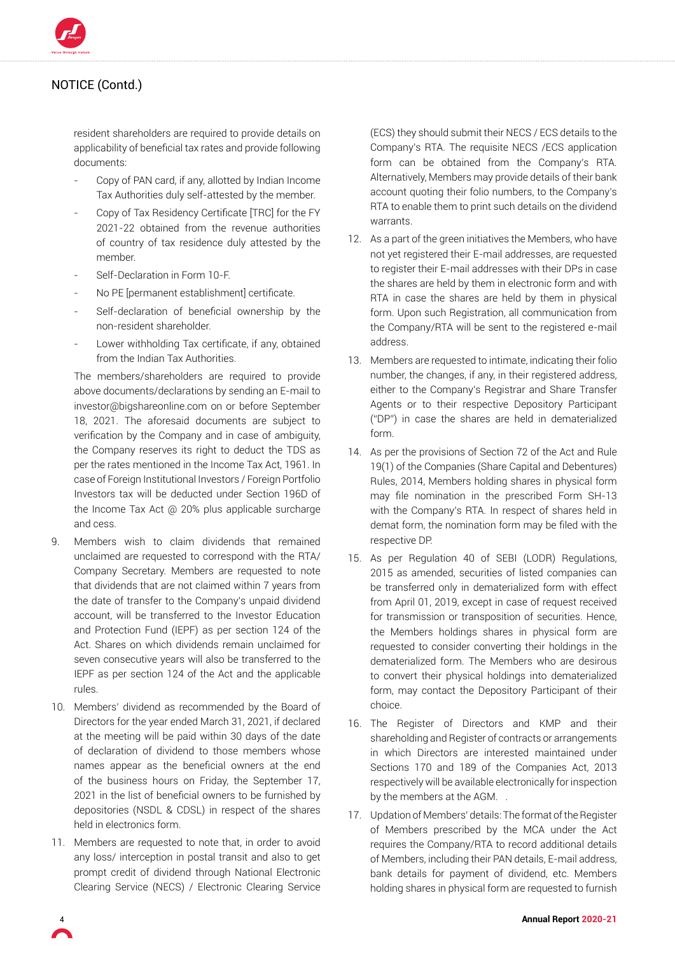

resident shareholders are required to provide details on applicability of beneficial tax rates and provide following documents:

- Copy of PAN card, if any, allotted by Indian Income Tax Authorities duly self-attested by the member.
- Copy of Tax Residency Certificate [TRC] for the FY 2021-22 obtained from the revenue authorities of country of tax residence duly attested by the member.
- Self-Declaration in Form 10-F.
- No PE [permanent establishment] certificate.
- Self-declaration of beneficial ownership by the non-resident shareholder.
- Lower withholding Tax certificate, if any, obtained from the Indian Tax Authorities.

The members/shareholders are required to provide above documents/declarations by sending an E-mail to investor@bigshareonline.com on or before September 18, 2021. The aforesaid documents are subject to verification by the Company and in case of ambiguity, the Company reserves its right to deduct the TDS as per the rates mentioned in the Income Tax Act, 1961. In case of Foreign Institutional Investors / Foreign Portfolio Investors tax will be deducted under Section 196D of the Income Tax Act @ 20% plus applicable surcharge and cess.

- 9. Members wish to claim dividends that remained unclaimed are requested to correspond with the RTA/ Company Secretary. Members are requested to note that dividends that are not claimed within 7 years from the date of transfer to the Company's unpaid dividend account, will be transferred to the Investor Education and Protection Fund (IEPF) as per section 124 of the Act. Shares on which dividends remain unclaimed for seven consecutive years will also be transferred to the IEPF as per section 124 of the Act and the applicable rules.
- 10. Members' dividend as recommended by the Board of Directors for the year ended March 31, 2021, if declared at the meeting will be paid within 30 days of the date of declaration of dividend to those members whose names appear as the beneficial owners at the end of the business hours on Friday, the September 17, 2021 in the list of beneficial owners to be furnished by depositories (NSDL & CDSL) in respect of the shares held in electronics form.
- 11. Members are requested to note that, in order to avoid any loss/ interception in postal transit and also to get prompt credit of dividend through National Electronic Clearing Service (NECS) / Electronic Clearing Service

(ECS) they should submit their NECS / ECS details to the Company's RTA. The requisite NECS /ECS application form can be obtained from the Company's RTA. Alternatively, Members may provide details of their bank account quoting their folio numbers, to the Company's RTA to enable them to print such details on the dividend warrants.

- 12. As a part of the green initiatives the Members, who have not yet registered their E-mail addresses, are requested to register their E-mail addresses with their DPs in case the shares are held by them in electronic form and with RTA in case the shares are held by them in physical form. Upon such Registration, all communication from the Company/RTA will be sent to the registered e-mail address.
- 13. Members are requested to intimate, indicating their folio number, the changes, if any, in their registered address, either to the Company's Registrar and Share Transfer Agents or to their respective Depository Participant ("DP") in case the shares are held in dematerialized form.
- 14. As per the provisions of Section 72 of the Act and Rule 19(1) of the Companies (Share Capital and Debentures) Rules, 2014, Members holding shares in physical form may file nomination in the prescribed Form SH-13 with the Company's RTA. In respect of shares held in demat form, the nomination form may be filed with the respective DP.
- 15. As per Regulation 40 of SEBI (LODR) Regulations, 2015 as amended, securities of listed companies can be transferred only in dematerialized form with effect from April 01, 2019, except in case of request received for transmission or transposition of securities. Hence, the Members holdings shares in physical form are requested to consider converting their holdings in the dematerialized form. The Members who are desirous to convert their physical holdings into dematerialized form, may contact the Depository Participant of their choice.
- 16. The Register of Directors and KMP and their shareholding and Register of contracts or arrangements in which Directors are interested maintained under Sections 170 and 189 of the Companies Act, 2013 respectively will be available electronically for inspection by the members at the AGM. .
- 17. Updation of Members' details: The format of the Register of Members prescribed by the MCA under the Act requires the Company/RTA to record additional details of Members, including their PAN details, E-mail address, bank details for payment of dividend, etc. Members holding shares in physical form are requested to furnish

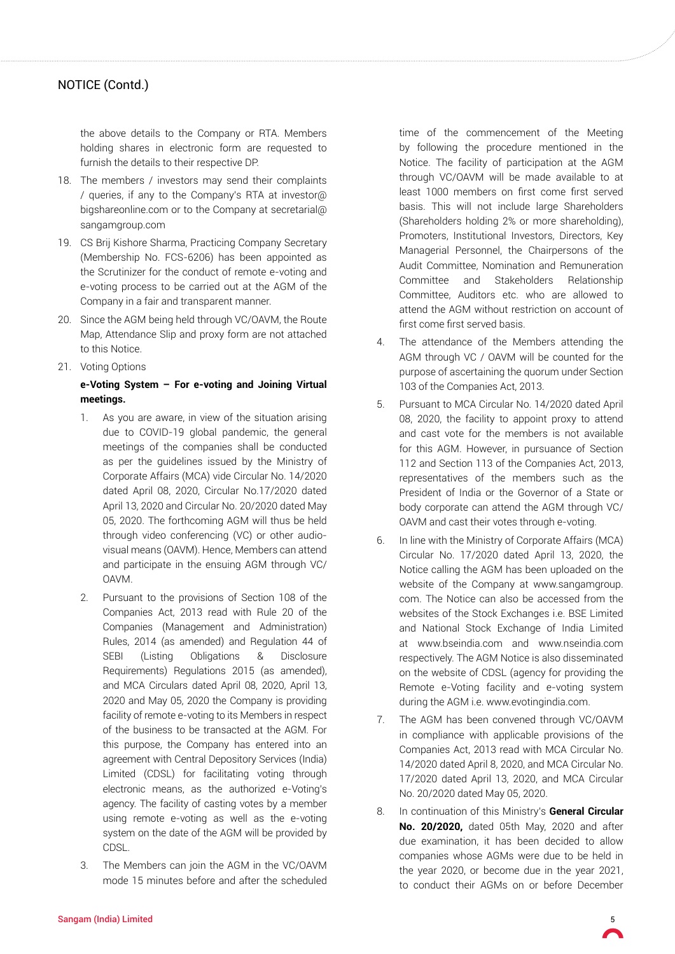the above details to the Company or RTA. Members holding shares in electronic form are requested to furnish the details to their respective DP.

- 18. The members / investors may send their complaints / queries, if any to the Company's RTA at investor@ bigshareonline.com or to the Company at secretarial@ sangamgroup.com
- 19. CS Brij Kishore Sharma, Practicing Company Secretary (Membership No. FCS-6206) has been appointed as the Scrutinizer for the conduct of remote e-voting and e-voting process to be carried out at the AGM of the Company in a fair and transparent manner.
- 20. Since the AGM being held through VC/OAVM, the Route Map, Attendance Slip and proxy form are not attached to this Notice.
- 21. Voting Options

## **e-Voting System – For e-voting and Joining Virtual meetings.**

- 1. As you are aware, in view of the situation arising due to COVID-19 global pandemic, the general meetings of the companies shall be conducted as per the guidelines issued by the Ministry of Corporate Affairs (MCA) vide Circular No. 14/2020 dated April 08, 2020, Circular No.17/2020 dated April 13, 2020 and Circular No. 20/2020 dated May 05, 2020. The forthcoming AGM will thus be held through video conferencing (VC) or other audiovisual means (OAVM). Hence, Members can attend and participate in the ensuing AGM through VC/ OAVM.
- 2. Pursuant to the provisions of Section 108 of the Companies Act, 2013 read with Rule 20 of the Companies (Management and Administration) Rules, 2014 (as amended) and Regulation 44 of SEBI (Listing Obligations & Disclosure Requirements) Regulations 2015 (as amended), and MCA Circulars dated April 08, 2020, April 13, 2020 and May 05, 2020 the Company is providing facility of remote e-voting to its Members in respect of the business to be transacted at the AGM. For this purpose, the Company has entered into an agreement with Central Depository Services (India) Limited (CDSL) for facilitating voting through electronic means, as the authorized e-Voting's agency. The facility of casting votes by a member using remote e-voting as well as the e-voting system on the date of the AGM will be provided by CDSL.
- 3. The Members can join the AGM in the VC/OAVM mode 15 minutes before and after the scheduled

time of the commencement of the Meeting by following the procedure mentioned in the Notice. The facility of participation at the AGM through VC/OAVM will be made available to at least 1000 members on first come first served basis. This will not include large Shareholders (Shareholders holding 2% or more shareholding), Promoters, Institutional Investors, Directors, Key Managerial Personnel, the Chairpersons of the Audit Committee, Nomination and Remuneration Committee and Stakeholders Relationship Committee, Auditors etc. who are allowed to attend the AGM without restriction on account of first come first served basis.

- 4. The attendance of the Members attending the AGM through VC / OAVM will be counted for the purpose of ascertaining the quorum under Section 103 of the Companies Act, 2013.
- 5. Pursuant to MCA Circular No. 14/2020 dated April 08, 2020, the facility to appoint proxy to attend and cast vote for the members is not available for this AGM. However, in pursuance of Section 112 and Section 113 of the Companies Act, 2013, representatives of the members such as the President of India or the Governor of a State or body corporate can attend the AGM through VC/ OAVM and cast their votes through e-voting.
- 6. In line with the Ministry of Corporate Affairs (MCA) Circular No. 17/2020 dated April 13, 2020, the Notice calling the AGM has been uploaded on the website of the Company at www.sangamgroup. com. The Notice can also be accessed from the websites of the Stock Exchanges i.e. BSE Limited and National Stock Exchange of India Limited at www.bseindia.com and www.nseindia.com respectively. The AGM Notice is also disseminated on the website of CDSL (agency for providing the Remote e-Voting facility and e-voting system during the AGM i.e. www.evotingindia.com.
- 7. The AGM has been convened through VC/OAVM in compliance with applicable provisions of the Companies Act, 2013 read with MCA Circular No. 14/2020 dated April 8, 2020, and MCA Circular No. 17/2020 dated April 13, 2020, and MCA Circular No. 20/2020 dated May 05, 2020.
- 8. In continuation of this Ministry's **General Circular No. 20/2020,** dated 05th May, 2020 and after due examination, it has been decided to allow companies whose AGMs were due to be held in the year 2020, or become due in the year 2021, to conduct their AGMs on or before December

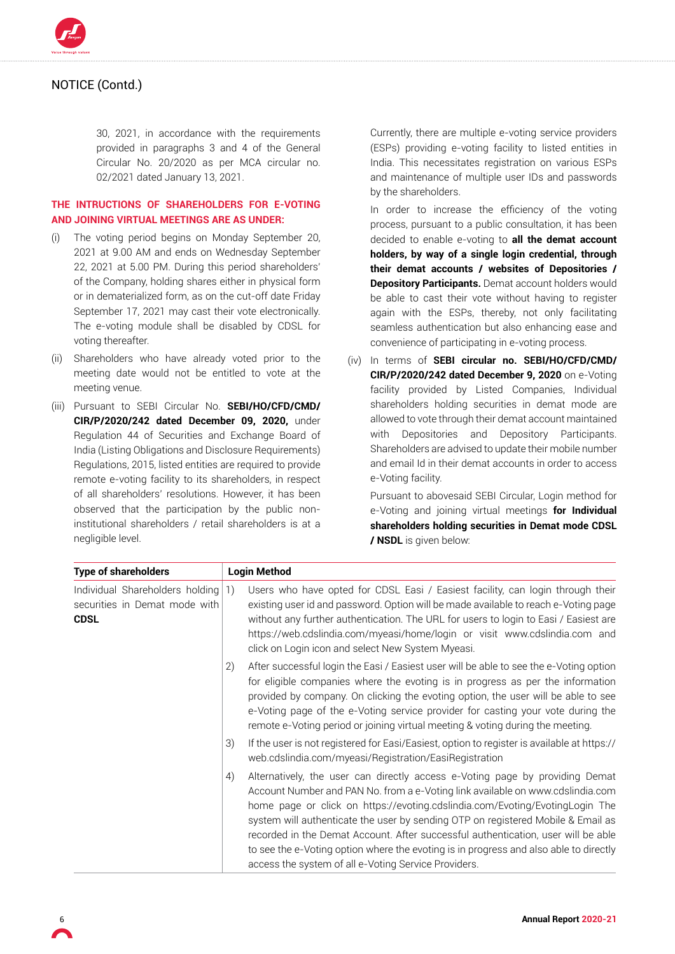

30, 2021, in accordance with the requirements provided in paragraphs 3 and 4 of the General Circular No. 20/2020 as per MCA circular no. 02/2021 dated January 13, 2021.

## **THE INTRUCTIONS OF SHAREHOLDERS FOR E-VOTING AND JOINING VIRTUAL MEETINGS ARE AS UNDER:**

- (i) The voting period begins on Monday September 20, 2021 at 9.00 AM and ends on Wednesday September 22, 2021 at 5.00 PM. During this period shareholders' of the Company, holding shares either in physical form or in dematerialized form, as on the cut-off date Friday September 17, 2021 may cast their vote electronically. The e-voting module shall be disabled by CDSL for voting thereafter.
- (ii) Shareholders who have already voted prior to the meeting date would not be entitled to vote at the meeting venue.
- (iii) Pursuant to SEBI Circular No. **SEBI/HO/CFD/CMD/ CIR/P/2020/242 dated December 09, 2020,** under Regulation 44 of Securities and Exchange Board of India (Listing Obligations and Disclosure Requirements) Regulations, 2015, listed entities are required to provide remote e-voting facility to its shareholders, in respect of all shareholders' resolutions. However, it has been observed that the participation by the public noninstitutional shareholders / retail shareholders is at a negligible level.

Currently, there are multiple e-voting service providers (ESPs) providing e-voting facility to listed entities in India. This necessitates registration on various ESPs and maintenance of multiple user IDs and passwords by the shareholders.

In order to increase the efficiency of the voting process, pursuant to a public consultation, it has been decided to enable e-voting to **all the demat account holders, by way of a single login credential, through their demat accounts / websites of Depositories / Depository Participants.** Demat account holders would be able to cast their vote without having to register again with the ESPs, thereby, not only facilitating seamless authentication but also enhancing ease and convenience of participating in e-voting process.

(iv) In terms of **SEBI circular no. SEBI/HO/CFD/CMD/ CIR/P/2020/242 dated December 9, 2020** on e-Voting facility provided by Listed Companies, Individual shareholders holding securities in demat mode are allowed to vote through their demat account maintained with Depositories and Depository Participants. Shareholders are advised to update their mobile number and email Id in their demat accounts in order to access e-Voting facility.

Pursuant to abovesaid SEBI Circular, Login method for e-Voting and joining virtual meetings **for Individual shareholders holding securities in Demat mode CDSL / NSDL** is given below:

| <b>Type of shareholders</b>                                                        |    | <b>Login Method</b>                                                                                                                                                                                                                                                                                                                                                                                                                                                                                                                                                      |
|------------------------------------------------------------------------------------|----|--------------------------------------------------------------------------------------------------------------------------------------------------------------------------------------------------------------------------------------------------------------------------------------------------------------------------------------------------------------------------------------------------------------------------------------------------------------------------------------------------------------------------------------------------------------------------|
| Individual Shareholders holding 1)<br>securities in Demat mode with<br><b>CDSL</b> |    | Users who have opted for CDSL Easi / Easiest facility, can login through their<br>existing user id and password. Option will be made available to reach e-Voting page<br>without any further authentication. The URL for users to login to Easi / Easiest are<br>https://web.cdslindia.com/myeasi/home/login or visit www.cdslindia.com and<br>click on Login icon and select New System Myeasi.                                                                                                                                                                         |
|                                                                                    | 2) | After successful login the Easi / Easiest user will be able to see the e-Voting option<br>for eligible companies where the evoting is in progress as per the information<br>provided by company. On clicking the evoting option, the user will be able to see<br>e-Voting page of the e-Voting service provider for casting your vote during the<br>remote e-Voting period or joining virtual meeting & voting during the meeting.                                                                                                                                       |
|                                                                                    | 3) | If the user is not registered for Easi/Easiest, option to register is available at https://<br>web.cdslindia.com/myeasi/Registration/EasiRegistration                                                                                                                                                                                                                                                                                                                                                                                                                    |
|                                                                                    | 4) | Alternatively, the user can directly access e-Voting page by providing Demat<br>Account Number and PAN No. from a e-Voting link available on www.cdslindia.com<br>home page or click on https://evoting.cdslindia.com/Evoting/EvotingLogin The<br>system will authenticate the user by sending OTP on registered Mobile & Email as<br>recorded in the Demat Account. After successful authentication, user will be able<br>to see the e-Voting option where the evoting is in progress and also able to directly<br>access the system of all e-Voting Service Providers. |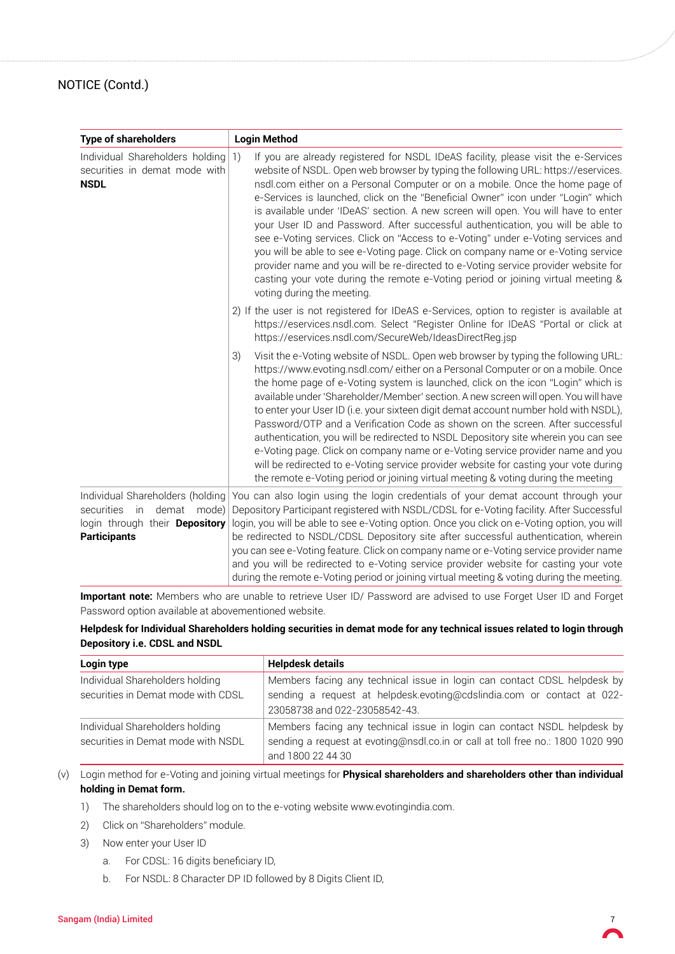| <b>Type of shareholders</b>                                                                                                      | <b>Login Method</b>                                                                                                                                                                                                                                                                                                                                                                                                                                                                                                                                                                                                                                                                                                                                                                                                                                                                                         |  |  |
|----------------------------------------------------------------------------------------------------------------------------------|-------------------------------------------------------------------------------------------------------------------------------------------------------------------------------------------------------------------------------------------------------------------------------------------------------------------------------------------------------------------------------------------------------------------------------------------------------------------------------------------------------------------------------------------------------------------------------------------------------------------------------------------------------------------------------------------------------------------------------------------------------------------------------------------------------------------------------------------------------------------------------------------------------------|--|--|
| Individual Shareholders holding<br>securities in demat mode with<br><b>NSDL</b>                                                  | If you are already registered for NSDL IDeAS facility, please visit the e-Services<br> 1)<br>website of NSDL. Open web browser by typing the following URL: https://eservices.<br>nsdl.com either on a Personal Computer or on a mobile. Once the home page of<br>e-Services is launched, click on the "Beneficial Owner" icon under "Login" which<br>is available under 'IDeAS' section. A new screen will open. You will have to enter<br>your User ID and Password. After successful authentication, you will be able to<br>see e-Voting services. Click on "Access to e-Voting" under e-Voting services and<br>you will be able to see e-Voting page. Click on company name or e-Voting service<br>provider name and you will be re-directed to e-Voting service provider website for<br>casting your vote during the remote e-Voting period or joining virtual meeting &<br>voting during the meeting. |  |  |
|                                                                                                                                  | 2) If the user is not registered for IDeAS e-Services, option to register is available at<br>https://eservices.nsdl.com. Select "Register Online for IDeAS "Portal or click at<br>https://eservices.nsdl.com/SecureWeb/IdeasDirectReg.jsp                                                                                                                                                                                                                                                                                                                                                                                                                                                                                                                                                                                                                                                                   |  |  |
|                                                                                                                                  | Visit the e-Voting website of NSDL. Open web browser by typing the following URL:<br>3)<br>https://www.evoting.nsdl.com/either on a Personal Computer or on a mobile. Once<br>the home page of e-Voting system is launched, click on the icon "Login" which is<br>available under 'Shareholder/Member' section. A new screen will open. You will have<br>to enter your User ID (i.e. your sixteen digit demat account number hold with NSDL),<br>Password/OTP and a Verification Code as shown on the screen. After successful<br>authentication, you will be redirected to NSDL Depository site wherein you can see<br>e-Voting page. Click on company name or e-Voting service provider name and you<br>will be redirected to e-Voting service provider website for casting your vote during<br>the remote e-Voting period or joining virtual meeting & voting during the meeting                         |  |  |
| Individual Shareholders (holding<br>in.<br>demat<br>securities<br>mode)<br>login through their Depository<br><b>Participants</b> | You can also login using the login credentials of your demat account through your<br>Depository Participant registered with NSDL/CDSL for e-Voting facility. After Successful<br>login, you will be able to see e-Voting option. Once you click on e-Voting option, you will<br>be redirected to NSDL/CDSL Depository site after successful authentication, wherein<br>you can see e-Voting feature. Click on company name or e-Voting service provider name<br>and you will be redirected to e-Voting service provider website for casting your vote<br>during the remote e-Voting period or joining virtual meeting & voting during the meeting.                                                                                                                                                                                                                                                          |  |  |

**Important note:** Members who are unable to retrieve User ID/ Password are advised to use Forget User ID and Forget Password option available at abovementioned website.

## **Helpdesk for Individual Shareholders holding securities in demat mode for any technical issues related to login through Depository i.e. CDSL and NSDL**

| Login type                                                            | <b>Helpdesk details</b>                                                                                                                                                             |  |  |
|-----------------------------------------------------------------------|-------------------------------------------------------------------------------------------------------------------------------------------------------------------------------------|--|--|
| Individual Shareholders holding<br>securities in Demat mode with CDSL | Members facing any technical issue in login can contact CDSL helpdesk by<br>sending a request at helpdesk.evoting@cdslindia.com or contact at 022-<br>23058738 and 022-23058542-43. |  |  |
| Individual Shareholders holding<br>securities in Demat mode with NSDL | Members facing any technical issue in login can contact NSDL helpdesk by<br>sending a request at evoting@nsdl.co.in or call at toll free no.: 1800 1020 990<br>and 1800 22 44 30    |  |  |

(v) Login method for e-Voting and joining virtual meetings for **Physical shareholders and shareholders other than individual holding in Demat form.**

- 1) The shareholders should log on to the e-voting website www.evotingindia.com.
- 2) Click on "Shareholders" module.
- 3) Now enter your User ID
	- a. For CDSL: 16 digits beneficiary ID,
	- b. For NSDL: 8 Character DP ID followed by 8 Digits Client ID,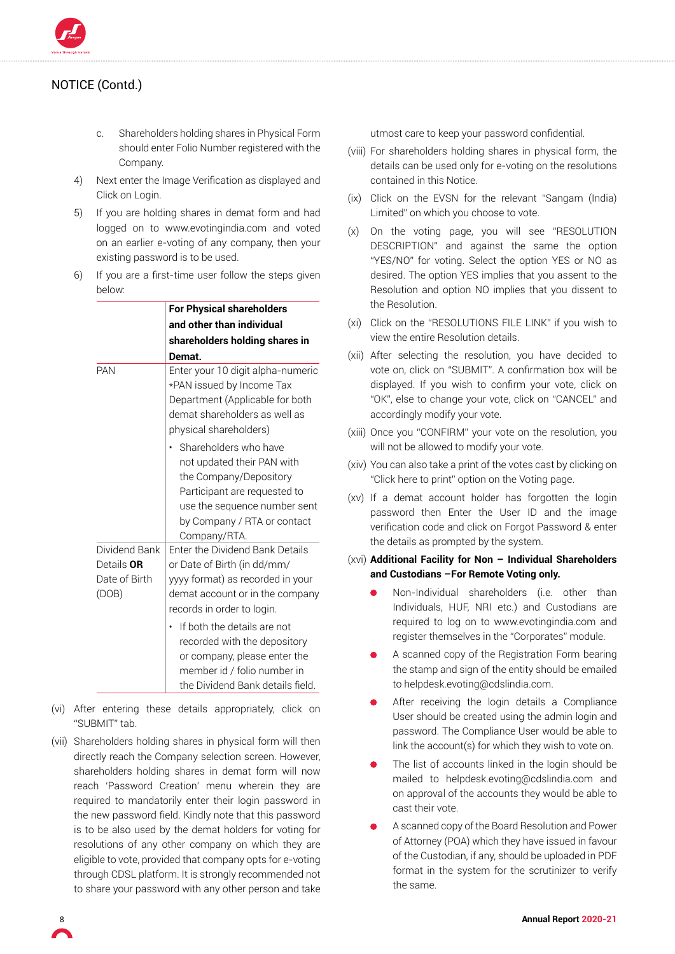

- c. Shareholders holding shares in Physical Form should enter Folio Number registered with the Company.
- 4) Next enter the Image Verification as displayed and Click on Login.
- 5) If you are holding shares in demat form and had logged on to www.evotingindia.com and voted on an earlier e-voting of any company, then your existing password is to be used.
- 6) If you are a first-time user follow the steps given below:

|                                                       | <b>For Physical shareholders</b>                                                                                                                                                                                                                                                                                                      |
|-------------------------------------------------------|---------------------------------------------------------------------------------------------------------------------------------------------------------------------------------------------------------------------------------------------------------------------------------------------------------------------------------------|
|                                                       | and other than individual                                                                                                                                                                                                                                                                                                             |
|                                                       | shareholders holding shares in                                                                                                                                                                                                                                                                                                        |
|                                                       | Demat.                                                                                                                                                                                                                                                                                                                                |
| <b>PAN</b>                                            | Enter your 10 digit alpha-numeric<br>*PAN issued by Income Tax<br>Department (Applicable for both<br>demat shareholders as well as<br>physical shareholders)                                                                                                                                                                          |
|                                                       | Shareholders who have<br>not updated their PAN with<br>the Company/Depository<br>Participant are requested to<br>use the sequence number sent<br>by Company / RTA or contact<br>Company/RTA.                                                                                                                                          |
| Dividend Bank<br>Details OR<br>Date of Birth<br>(DOB) | Enter the Dividend Bank Details<br>or Date of Birth (in dd/mm/<br>yyyy format) as recorded in your<br>demat account or in the company<br>records in order to login.<br>If both the details are not<br>recorded with the depository<br>or company, please enter the<br>member id / folio number in<br>the Dividend Bank details field. |

- (vi) After entering these details appropriately, click on "SUBMIT" tab.
- (vii) Shareholders holding shares in physical form will then directly reach the Company selection screen. However, shareholders holding shares in demat form will now reach 'Password Creation' menu wherein they are required to mandatorily enter their login password in the new password field. Kindly note that this password is to be also used by the demat holders for voting for resolutions of any other company on which they are eligible to vote, provided that company opts for e-voting through CDSL platform. It is strongly recommended not to share your password with any other person and take

utmost care to keep your password confidential.

- (viii) For shareholders holding shares in physical form, the details can be used only for e-voting on the resolutions contained in this Notice.
- (ix) Click on the EVSN for the relevant "Sangam (India) Limited" on which you choose to vote.
- (x) On the voting page, you will see "RESOLUTION DESCRIPTION" and against the same the option "YES/NO" for voting. Select the option YES or NO as desired. The option YES implies that you assent to the Resolution and option NO implies that you dissent to the Resolution.
- (xi) Click on the "RESOLUTIONS FILE LINK" if you wish to view the entire Resolution details.
- (xii) After selecting the resolution, you have decided to vote on, click on "SUBMIT". A confirmation box will be displayed. If you wish to confirm your vote, click on "OK", else to change your vote, click on "CANCEL" and accordingly modify your vote.
- (xiii) Once you "CONFIRM" your vote on the resolution, you will not be allowed to modify your vote.
- (xiv) You can also take a print of the votes cast by clicking on "Click here to print" option on the Voting page.
- (xv) If a demat account holder has forgotten the login password then Enter the User ID and the image verification code and click on Forgot Password & enter the details as prompted by the system.
- (xvi) **Additional Facility for Non Individual Shareholders and Custodians –For Remote Voting only.**
	- Non-Individual shareholders (i.e. other than Individuals, HUF, NRI etc.) and Custodians are required to log on to www.evotingindia.com and register themselves in the "Corporates" module.
	- A scanned copy of the Registration Form bearing the stamp and sign of the entity should be emailed to helpdesk.evoting@cdslindia.com.
	- After receiving the login details a Compliance User should be created using the admin login and password. The Compliance User would be able to link the account(s) for which they wish to vote on.
	- The list of accounts linked in the login should be mailed to helpdesk.evoting@cdslindia.com and on approval of the accounts they would be able to cast their vote.
	- A scanned copy of the Board Resolution and Power of Attorney (POA) which they have issued in favour of the Custodian, if any, should be uploaded in PDF format in the system for the scrutinizer to verify the same.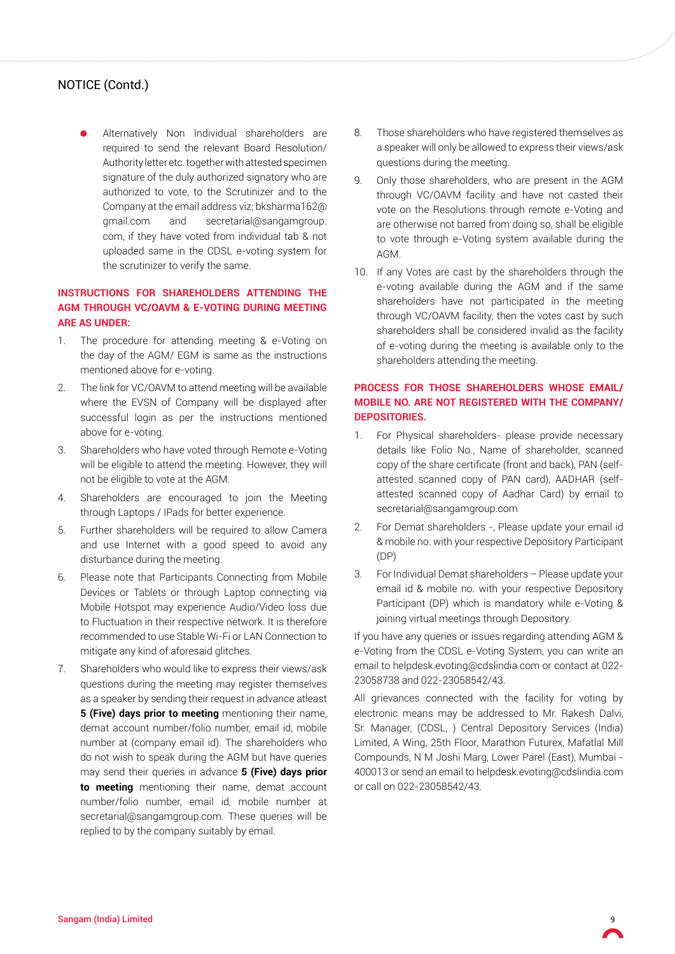Alternatively Non Individual shareholders are required to send the relevant Board Resolution/ Authority letter etc. together with attested specimen signature of the duly authorized signatory who are authorized to vote, to the Scrutinizer and to the Company at the email address viz; bksharma162@ gmail.com and secretarial@sangamgroup. com, if they have voted from individual tab & not uploaded same in the CDSL e-voting system for the scrutinizer to verify the same.

## **INSTRUCTIONS FOR SHAREHOLDERS ATTENDING THE AGM THROUGH VC/OAVM & E-VOTING DURING MEETING ARE AS UNDER:**

- 1. The procedure for attending meeting & e-Voting on the day of the AGM/ EGM is same as the instructions mentioned above for e-voting.
- 2. The link for VC/OAVM to attend meeting will be available where the EVSN of Company will be displayed after successful login as per the instructions mentioned above for e-voting.
- 3. Shareholders who have voted through Remote e-Voting will be eligible to attend the meeting. However, they will not be eligible to vote at the AGM.
- 4. Shareholders are encouraged to join the Meeting through Laptops / IPads for better experience.
- 5. Further shareholders will be required to allow Camera and use Internet with a good speed to avoid any disturbance during the meeting.
- 6. Please note that Participants Connecting from Mobile Devices or Tablets or through Laptop connecting via Mobile Hotspot may experience Audio/Video loss due to Fluctuation in their respective network. It is therefore recommended to use Stable Wi-Fi or LAN Connection to mitigate any kind of aforesaid glitches.
- 7. Shareholders who would like to express their views/ask questions during the meeting may register themselves as a speaker by sending their request in advance atleast **5 (Five) days prior to meeting** mentioning their name, demat account number/folio number, email id, mobile number at (company email id). The shareholders who do not wish to speak during the AGM but have queries may send their queries in advance **5 (Five) days prior to meeting** mentioning their name, demat account number/folio number, email id, mobile number at secretarial@sangamgroup.com. These queries will be replied to by the company suitably by email.
- 8. Those shareholders who have registered themselves as a speaker will only be allowed to express their views/ask questions during the meeting.
- 9. Only those shareholders, who are present in the AGM through VC/OAVM facility and have not casted their vote on the Resolutions through remote e-Voting and are otherwise not barred from doing so, shall be eligible to vote through e-Voting system available during the AGM.
- 10. If any Votes are cast by the shareholders through the e-voting available during the AGM and if the same shareholders have not participated in the meeting through VC/OAVM facility, then the votes cast by such shareholders shall be considered invalid as the facility of e-voting during the meeting is available only to the shareholders attending the meeting.

## **PROCESS FOR THOSE SHAREHOLDERS WHOSE EMAIL/ MOBILE NO. ARE NOT REGISTERED WITH THE COMPANY/ DEPOSITORIES.**

- 1. For Physical shareholders- please provide necessary details like Folio No., Name of shareholder, scanned copy of the share certificate (front and back), PAN (selfattested scanned copy of PAN card), AADHAR (selfattested scanned copy of Aadhar Card) by email to secretarial@sangamgroup.com
- 2. For Demat shareholders -, Please update your email id & mobile no. with your respective Depository Participant (DP)
- 3. For Individual Demat shareholders Please update your email id & mobile no. with your respective Depository Participant (DP) which is mandatory while e-Voting & joining virtual meetings through Depository.

If you have any queries or issues regarding attending AGM & e-Voting from the CDSL e-Voting System, you can write an email to helpdesk.evoting@cdslindia.com or contact at 022- 23058738 and 022-23058542/43.

All grievances connected with the facility for voting by electronic means may be addressed to Mr. Rakesh Dalvi, Sr. Manager, (CDSL, ) Central Depository Services (India) Limited, A Wing, 25th Floor, Marathon Futurex, Mafatlal Mill Compounds, N M Joshi Marg, Lower Parel (East), Mumbai - 400013 or send an email to helpdesk.evoting@cdslindia.com or call on 022-23058542/43.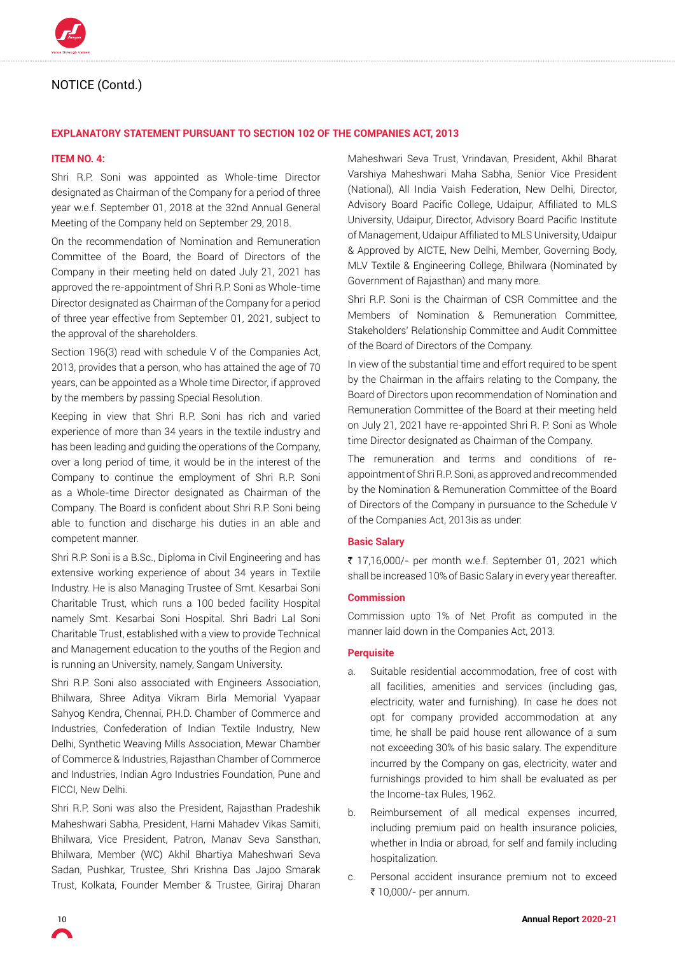

#### **EXPLANATORY STATEMENT PURSUANT TO SECTION 102 OF THE COMPANIES ACT, 2013**

#### **ITEM NO. 4:**

Shri R.P. Soni was appointed as Whole-time Director designated as Chairman of the Company for a period of three year w.e.f. September 01, 2018 at the 32nd Annual General Meeting of the Company held on September 29, 2018.

On the recommendation of Nomination and Remuneration Committee of the Board, the Board of Directors of the Company in their meeting held on dated July 21, 2021 has approved the re-appointment of Shri R.P. Soni as Whole-time Director designated as Chairman of the Company for a period of three year effective from September 01, 2021, subject to the approval of the shareholders.

Section 196(3) read with schedule V of the Companies Act, 2013, provides that a person, who has attained the age of 70 years, can be appointed as a Whole time Director, if approved by the members by passing Special Resolution.

Keeping in view that Shri R.P. Soni has rich and varied experience of more than 34 years in the textile industry and has been leading and guiding the operations of the Company, over a long period of time, it would be in the interest of the Company to continue the employment of Shri R.P. Soni as a Whole-time Director designated as Chairman of the Company. The Board is confident about Shri R.P. Soni being able to function and discharge his duties in an able and competent manner.

Shri R.P. Soni is a B.Sc., Diploma in Civil Engineering and has extensive working experience of about 34 years in Textile Industry. He is also Managing Trustee of Smt. Kesarbai Soni Charitable Trust, which runs a 100 beded facility Hospital namely Smt. Kesarbai Soni Hospital. Shri Badri Lal Soni Charitable Trust, established with a view to provide Technical and Management education to the youths of the Region and is running an University, namely, Sangam University.

Shri R.P. Soni also associated with Engineers Association, Bhilwara, Shree Aditya Vikram Birla Memorial Vyapaar Sahyog Kendra, Chennai, P.H.D. Chamber of Commerce and Industries, Confederation of Indian Textile Industry, New Delhi, Synthetic Weaving Mills Association, Mewar Chamber of Commerce & Industries, Rajasthan Chamber of Commerce and Industries, Indian Agro Industries Foundation, Pune and FICCI, New Delhi.

Shri R.P. Soni was also the President, Rajasthan Pradeshik Maheshwari Sabha, President, Harni Mahadev Vikas Samiti, Bhilwara, Vice President, Patron, Manav Seva Sansthan, Bhilwara, Member (WC) Akhil Bhartiya Maheshwari Seva Sadan, Pushkar, Trustee, Shri Krishna Das Jajoo Smarak Trust, Kolkata, Founder Member & Trustee, Giriraj Dharan

Maheshwari Seva Trust, Vrindavan, President, Akhil Bharat Varshiya Maheshwari Maha Sabha, Senior Vice President (National), All India Vaish Federation, New Delhi, Director, Advisory Board Pacific College, Udaipur, Affiliated to MLS University, Udaipur, Director, Advisory Board Pacific Institute of Management, Udaipur Affiliated to MLS University, Udaipur & Approved by AICTE, New Delhi, Member, Governing Body, MLV Textile & Engineering College, Bhilwara (Nominated by Government of Rajasthan) and many more.

Shri R.P. Soni is the Chairman of CSR Committee and the Members of Nomination & Remuneration Committee, Stakeholders' Relationship Committee and Audit Committee of the Board of Directors of the Company.

In view of the substantial time and effort required to be spent by the Chairman in the affairs relating to the Company, the Board of Directors upon recommendation of Nomination and Remuneration Committee of the Board at their meeting held on July 21, 2021 have re-appointed Shri R. P. Soni as Whole time Director designated as Chairman of the Company.

The remuneration and terms and conditions of reappointment of Shri R.P. Soni, as approved and recommended by the Nomination & Remuneration Committee of the Board of Directors of the Company in pursuance to the Schedule V of the Companies Act, 2013is as under:

#### **Basic Salary**

₹ 17,16,000/- per month w.e.f. September 01, 2021 which shall be increased 10% of Basic Salary in every year thereafter.

#### **Commission**

Commission upto 1% of Net Profit as computed in the manner laid down in the Companies Act, 2013.

#### **Perquisite**

- a. Suitable residential accommodation, free of cost with all facilities, amenities and services (including gas, electricity, water and furnishing). In case he does not opt for company provided accommodation at any time, he shall be paid house rent allowance of a sum not exceeding 30% of his basic salary. The expenditure incurred by the Company on gas, electricity, water and furnishings provided to him shall be evaluated as per the Income-tax Rules, 1962.
- b. Reimbursement of all medical expenses incurred, including premium paid on health insurance policies, whether in India or abroad, for self and family including hospitalization.
- c. Personal accident insurance premium not to exceed ₹ 10,000/- per annum.

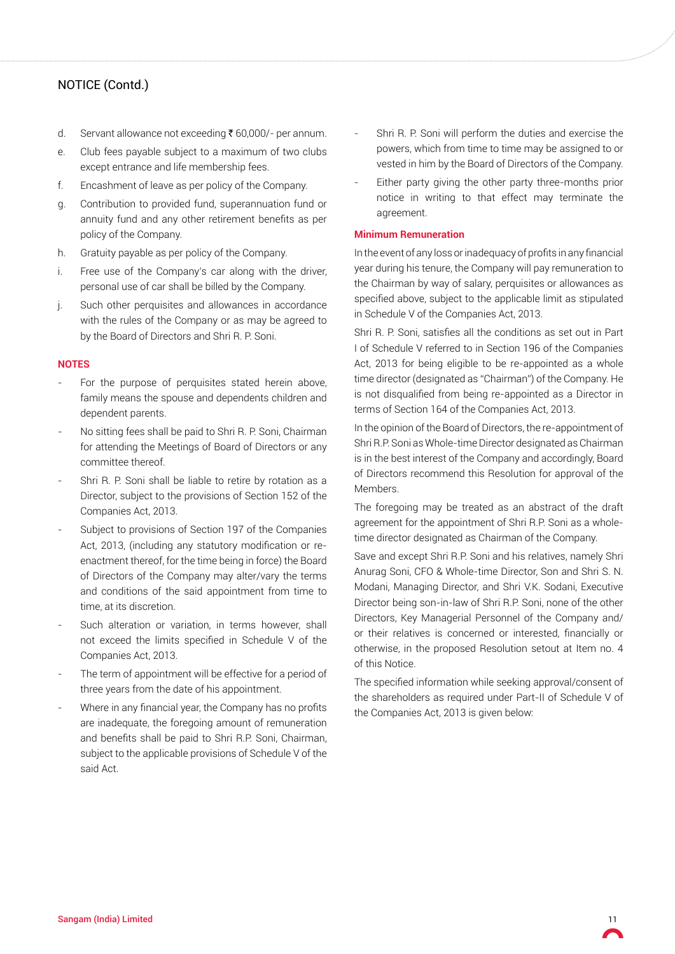- d. Servant allowance not exceeding ₹  $60,000/$  per annum.
- e. Club fees payable subject to a maximum of two clubs except entrance and life membership fees.
- f. Encashment of leave as per policy of the Company.
- g. Contribution to provided fund, superannuation fund or annuity fund and any other retirement benefits as per policy of the Company.
- h. Gratuity payable as per policy of the Company.
- i. Free use of the Company's car along with the driver, personal use of car shall be billed by the Company.
- j. Such other perquisites and allowances in accordance with the rules of the Company or as may be agreed to by the Board of Directors and Shri R. P. Soni.

#### **NOTES**

- For the purpose of perquisites stated herein above, family means the spouse and dependents children and dependent parents.
- No sitting fees shall be paid to Shri R. P. Soni, Chairman for attending the Meetings of Board of Directors or any committee thereof.
- Shri R. P. Soni shall be liable to retire by rotation as a Director, subject to the provisions of Section 152 of the Companies Act, 2013.
- Subject to provisions of Section 197 of the Companies Act, 2013, (including any statutory modification or reenactment thereof, for the time being in force) the Board of Directors of the Company may alter/vary the terms and conditions of the said appointment from time to time, at its discretion.
- Such alteration or variation, in terms however, shall not exceed the limits specified in Schedule V of the Companies Act, 2013.
- The term of appointment will be effective for a period of three years from the date of his appointment.
- Where in any financial year, the Company has no profits are inadequate, the foregoing amount of remuneration and benefits shall be paid to Shri R.P. Soni, Chairman, subject to the applicable provisions of Schedule V of the said Act.
- Shri R. P. Soni will perform the duties and exercise the powers, which from time to time may be assigned to or vested in him by the Board of Directors of the Company.
- Either party giving the other party three-months prior notice in writing to that effect may terminate the agreement.

#### **Minimum Remuneration**

In the event of any loss or inadequacy of profits in any financial year during his tenure, the Company will pay remuneration to the Chairman by way of salary, perquisites or allowances as specified above, subject to the applicable limit as stipulated in Schedule V of the Companies Act, 2013.

Shri R. P. Soni, satisfies all the conditions as set out in Part I of Schedule V referred to in Section 196 of the Companies Act, 2013 for being eligible to be re-appointed as a whole time director (designated as "Chairman") of the Company. He is not disqualified from being re-appointed as a Director in terms of Section 164 of the Companies Act, 2013.

In the opinion of the Board of Directors, the re-appointment of Shri R.P. Soni as Whole-time Director designated as Chairman is in the best interest of the Company and accordingly, Board of Directors recommend this Resolution for approval of the Members.

The foregoing may be treated as an abstract of the draft agreement for the appointment of Shri R.P. Soni as a wholetime director designated as Chairman of the Company.

Save and except Shri R.P. Soni and his relatives, namely Shri Anurag Soni, CFO & Whole-time Director, Son and Shri S. N. Modani, Managing Director, and Shri V.K. Sodani, Executive Director being son-in-law of Shri R.P. Soni, none of the other Directors, Key Managerial Personnel of the Company and/ or their relatives is concerned or interested, financially or otherwise, in the proposed Resolution setout at Item no. 4 of this Notice.

The specified information while seeking approval/consent of the shareholders as required under Part-II of Schedule V of the Companies Act, 2013 is given below: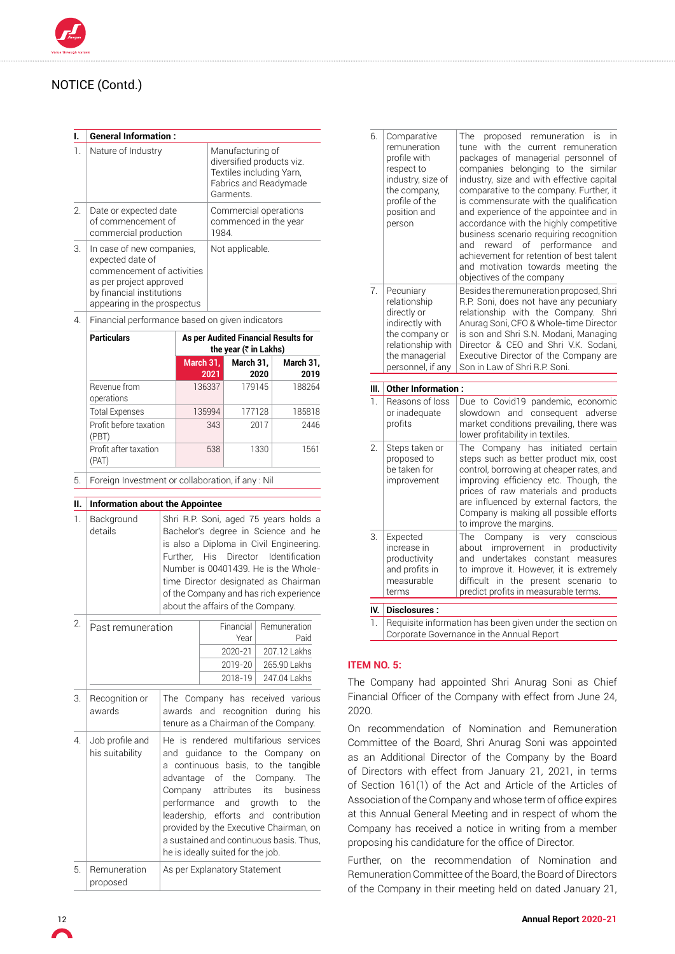#### **I. General Information :**

| 1. | Nature of Industry                                                                                                                                                 | Manufacturing of<br>diversified products viz.<br>Textiles including Yarn,<br>Fabrics and Readymade<br>Garments. |
|----|--------------------------------------------------------------------------------------------------------------------------------------------------------------------|-----------------------------------------------------------------------------------------------------------------|
| 2. | Date or expected date<br>of commencement of<br>commercial production                                                                                               | Commercial operations<br>commenced in the year<br>1984.                                                         |
| 3. | In case of new companies.<br>expected date of<br>commencement of activities<br>as per project approved<br>by financial institutions<br>appearing in the prospectus | Not applicable.                                                                                                 |

4. Financial performance based on given indicators

| <b>Particulars</b>              | As per Audited Financial Results for<br>the year ( $\bar{\tau}$ in Lakhs) |                   |                   |  |
|---------------------------------|---------------------------------------------------------------------------|-------------------|-------------------|--|
|                                 | March 31,<br>2021                                                         | March 31,<br>2020 | March 31,<br>2019 |  |
| Revenue from<br>operations      | 136337                                                                    | 179145            | 188264            |  |
| <b>Total Expenses</b>           | 135994                                                                    | 177128            | 185818            |  |
| Profit before taxation<br>(PBT) | 343                                                                       | 2017              | 2446              |  |
| Profit after taxation<br>(PAT)  | 538                                                                       | 1330              | 1561              |  |

5. Foreign Investment or collaboration, if any : Nil

#### **II. Information about the Appointee**  1. Background details Shri R.P. Soni, aged 75 years holds a Bachelor's degree in Science and he is also a Diploma in Civil Engineering. Further, His Director Identification Number is 00401439. He is the Wholetime Director designated as Chairman of the Company and has rich experience about the affairs of the Company. 2. Past remuneration Financial Year Remuneration Paid 2020-21 207.12 Lakhs 2019-20 265.90 Lakhs 2018-19 247.04 Lakhs 3. Recognition or awards The Company has received various awards and recognition during his tenure as a Chairman of the Company. 4. Job profile and his suitability He is rendered multifarious services and guidance to the Company on a continuous basis, to the tangible advantage of the Company. The Company attributes its business performance and growth to the leadership, efforts and contribution provided by the Executive Chairman, on a sustained and continuous basis. Thus, he is ideally suited for the job. 5. Remuneration proposed As per Explanatory Statement

| 6.               | Comparative<br>remuneration<br>profile with<br>respect to<br>industry, size of<br>the company,<br>profile of the<br>position and<br>person | proposed remuneration<br>The<br>In<br>IS<br>with the current remuneration<br>tune<br>packages of managerial personnel of<br>companies belonging to the<br>similar<br>industry, size and with effective capital<br>comparative to the company. Further, it<br>is commensurate with the qualification<br>and experience of the appointee and in<br>accordance with the highly competitive<br>business scenario requiring recognition<br>reward of performance<br>and<br>and<br>achievement for retention of best talent<br>and motivation towards meeting the<br>objectives of the company |
|------------------|--------------------------------------------------------------------------------------------------------------------------------------------|------------------------------------------------------------------------------------------------------------------------------------------------------------------------------------------------------------------------------------------------------------------------------------------------------------------------------------------------------------------------------------------------------------------------------------------------------------------------------------------------------------------------------------------------------------------------------------------|
| $\overline{7}$ . | Pecuniary<br>relationship<br>directly or<br>indirectly with<br>the company or<br>relationship with<br>the managerial<br>personnel, if any  | Besides the remuneration proposed, Shri<br>R.P. Soni, does not have any pecuniary<br>relationship with the Company.<br>Shri<br>Anurag Soni, CFO & Whole-time Director<br>is son and Shri S.N. Modani, Managing<br>Director & CEO and Shri V.K. Sodani,<br>Executive Director of the Company are<br>Son in Law of Shri R.P. Soni.                                                                                                                                                                                                                                                         |
| Ш.               | <b>Other Information:</b>                                                                                                                  |                                                                                                                                                                                                                                                                                                                                                                                                                                                                                                                                                                                          |
|                  |                                                                                                                                            |                                                                                                                                                                                                                                                                                                                                                                                                                                                                                                                                                                                          |
| 1.               | Reasons of loss<br>or inadequate<br>profits                                                                                                | Due to Covid19 pandemic, economic<br>slowdown and consequent adverse<br>market conditions prevailing, there was<br>lower profitability in textiles.                                                                                                                                                                                                                                                                                                                                                                                                                                      |
| 2.               | Steps taken or<br>proposed to<br>be taken for<br>improvement                                                                               | The Company has initiated certain<br>steps such as better product mix, cost<br>control, borrowing at cheaper rates, and<br>improving efficiency etc. Though, the<br>prices of raw materials and products<br>are influenced by external factors, the<br>Company is making all possible efforts<br>to improve the margins.                                                                                                                                                                                                                                                                 |
| 3.               | Expected<br>increase in<br>productivity<br>and profits in<br>measurable<br>terms                                                           | Company is<br>The<br>conscious<br>very<br>improvement in productivity<br>about<br>and undertakes constant measures<br>to improve it. However, it is extremely<br>difficult in the present scenario to<br>predict profits in measurable terms.                                                                                                                                                                                                                                                                                                                                            |
| IV.              | <b>Disclosures:</b>                                                                                                                        |                                                                                                                                                                                                                                                                                                                                                                                                                                                                                                                                                                                          |

lequisite information has been given under the sectio Corporate Governance in the Annual Report

## **Item no. 5:**

The Company had appointed Shri Anurag Soni as Chief Financial Officer of the Company with effect from June 24, 2020.

On recommendation of Nomination and Remuneration Committee of the Board, Shri Anurag Soni was appointed as an Additional Director of the Company by the Board of Directors with effect from January 21, 2021, in terms of Section 161(1) of the Act and Article of the Articles of Association of the Company and whose term of office expires at this Annual General Meeting and in respect of whom the Company has received a notice in writing from a member proposing his candidature for the office of Director.

Further, on the recommendation of Nomination and Remuneration Committee of the Board, the Board of Directors of the Company in their meeting held on dated January 21,

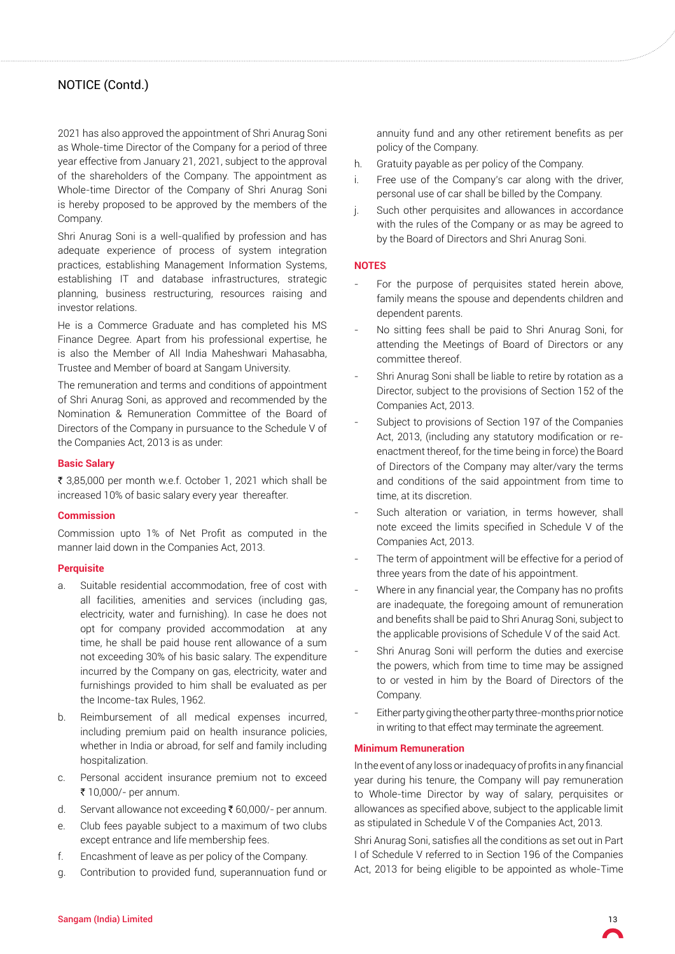2021 has also approved the appointment of Shri Anurag Soni as Whole-time Director of the Company for a period of three year effective from January 21, 2021, subject to the approval of the shareholders of the Company. The appointment as Whole-time Director of the Company of Shri Anurag Soni is hereby proposed to be approved by the members of the Company.

Shri Anurag Soni is a well-qualified by profession and has adequate experience of process of system integration practices, establishing Management Information Systems, establishing IT and database infrastructures, strategic planning, business restructuring, resources raising and investor relations.

He is a Commerce Graduate and has completed his MS Finance Degree. Apart from his professional expertise, he is also the Member of All India Maheshwari Mahasabha, Trustee and Member of board at Sangam University.

The remuneration and terms and conditions of appointment of Shri Anurag Soni, as approved and recommended by the Nomination & Remuneration Committee of the Board of Directors of the Company in pursuance to the Schedule V of the Companies Act, 2013 is as under:

#### **Basic Salary**

₹ 3,85,000 per month w.e.f. October 1, 2021 which shall be increased 10% of basic salary every year thereafter.

#### **Commission**

Commission upto 1% of Net Profit as computed in the manner laid down in the Companies Act, 2013.

#### **Perquisite**

- a. Suitable residential accommodation, free of cost with all facilities, amenities and services (including gas, electricity, water and furnishing). In case he does not opt for company provided accommodation at any time, he shall be paid house rent allowance of a sum not exceeding 30% of his basic salary. The expenditure incurred by the Company on gas, electricity, water and furnishings provided to him shall be evaluated as per the Income-tax Rules, 1962.
- b. Reimbursement of all medical expenses incurred, including premium paid on health insurance policies, whether in India or abroad, for self and family including hospitalization.
- c. Personal accident insurance premium not to exceed ₹ 10,000/- per annum.
- d. Servant allowance not exceeding  $\bar{\tau}$  60,000/- per annum.
- e. Club fees payable subject to a maximum of two clubs except entrance and life membership fees.
- f. Encashment of leave as per policy of the Company.
- g. Contribution to provided fund, superannuation fund or

annuity fund and any other retirement benefits as per policy of the Company.

- h. Gratuity payable as per policy of the Company.
- i. Free use of the Company's car along with the driver, personal use of car shall be billed by the Company.
- j. Such other perquisites and allowances in accordance with the rules of the Company or as may be agreed to by the Board of Directors and Shri Anurag Soni.

#### **NOTES**

- For the purpose of perquisites stated herein above, family means the spouse and dependents children and dependent parents.
- No sitting fees shall be paid to Shri Anurag Soni, for attending the Meetings of Board of Directors or any committee thereof.
- Shri Anurag Soni shall be liable to retire by rotation as a Director, subject to the provisions of Section 152 of the Companies Act, 2013.
- Subject to provisions of Section 197 of the Companies Act, 2013, (including any statutory modification or reenactment thereof, for the time being in force) the Board of Directors of the Company may alter/vary the terms and conditions of the said appointment from time to time, at its discretion.
- Such alteration or variation, in terms however, shall note exceed the limits specified in Schedule V of the Companies Act, 2013.
- The term of appointment will be effective for a period of three years from the date of his appointment.
- Where in any financial year, the Company has no profits are inadequate, the foregoing amount of remuneration and benefits shall be paid to Shri Anurag Soni, subject to the applicable provisions of Schedule V of the said Act.
- Shri Anurag Soni will perform the duties and exercise the powers, which from time to time may be assigned to or vested in him by the Board of Directors of the Company.
- Either party giving the other party three-months prior notice in writing to that effect may terminate the agreement.

#### **Minimum Remuneration**

In the event of any loss or inadequacy of profits in any financial year during his tenure, the Company will pay remuneration to Whole-time Director by way of salary, perquisites or allowances as specified above, subject to the applicable limit as stipulated in Schedule V of the Companies Act, 2013.

Shri Anurag Soni, satisfies all the conditions as set out in Part I of Schedule V referred to in Section 196 of the Companies Act, 2013 for being eligible to be appointed as whole-Time

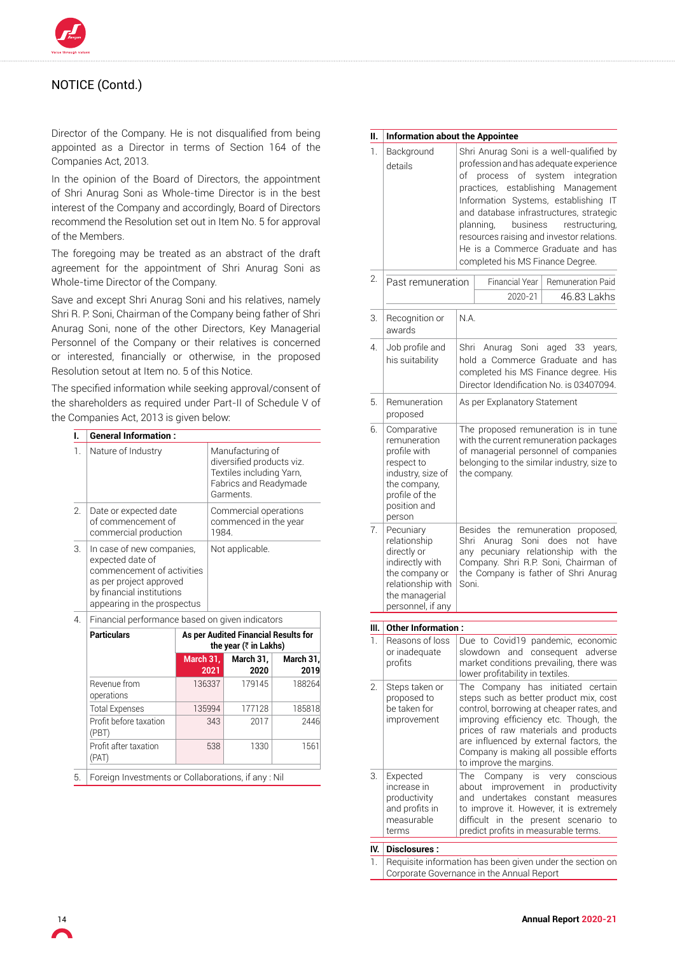

Director of the Company. He is not disqualified from being appointed as a Director in terms of Section 164 of the Companies Act, 2013.

In the opinion of the Board of Directors, the appointment of Shri Anurag Soni as Whole-time Director is in the best interest of the Company and accordingly, Board of Directors recommend the Resolution set out in Item No. 5 for approval of the Members.

The foregoing may be treated as an abstract of the draft agreement for the appointment of Shri Anurag Soni as Whole-time Director of the Company.

Save and except Shri Anurag Soni and his relatives, namely Shri R. P. Soni, Chairman of the Company being father of Shri Anurag Soni, none of the other Directors, Key Managerial Personnel of the Company or their relatives is concerned or interested, financially or otherwise, in the proposed Resolution setout at Item no. 5 of this Notice.

The specified information while seeking approval/consent of the shareholders as required under Part-II of Schedule V of the Companies Act, 2013 is given below:

| I.               |                                                                                                                                                                    |           |                                                                           | <b>General Information:</b>                                                                                     |                   |  |  |  |
|------------------|--------------------------------------------------------------------------------------------------------------------------------------------------------------------|-----------|---------------------------------------------------------------------------|-----------------------------------------------------------------------------------------------------------------|-------------------|--|--|--|
| 1.               | Nature of Industry                                                                                                                                                 |           |                                                                           | Manufacturing of<br>diversified products viz.<br>Textiles including Yarn,<br>Fabrics and Readymade<br>Garments. |                   |  |  |  |
| 2.               | Date or expected date<br>of commencement of<br>commercial production                                                                                               |           |                                                                           | Commercial operations<br>commenced in the year<br>1984.                                                         |                   |  |  |  |
| 3.               | In case of new companies,<br>expected date of<br>commencement of activities<br>as per project approved<br>by financial institutions<br>appearing in the prospectus |           |                                                                           | Not applicable.                                                                                                 |                   |  |  |  |
| $\overline{4}$ . | Financial performance based on given indicators                                                                                                                    |           |                                                                           |                                                                                                                 |                   |  |  |  |
|                  | <b>Particulars</b>                                                                                                                                                 |           | As per Audited Financial Results for<br>the year ( $\bar{\tau}$ in Lakhs) |                                                                                                                 |                   |  |  |  |
|                  |                                                                                                                                                                    | March 31, | 2021                                                                      | March $31.$<br>2020                                                                                             | March 31,<br>2019 |  |  |  |

|  | Revenue from<br>operations      | 136337 | 179145 | 188264 |
|--|---------------------------------|--------|--------|--------|
|  | <b>Total Expenses</b>           | 135994 | 177128 | 185818 |
|  | Profit before taxation<br>(PBT) | 343    | 2017   | 2446   |
|  | Profit after taxation<br>(PAT)  | 538    | 1330   | 1561   |
|  |                                 |        |        |        |

5. Foreign Investments or Collaborations, if any : Nil

| н.               | <b>Information about the Appointee</b>                                                                                                     |                                                                                                                                                                                                                                                                                                                                                                                                                       |  |  |
|------------------|--------------------------------------------------------------------------------------------------------------------------------------------|-----------------------------------------------------------------------------------------------------------------------------------------------------------------------------------------------------------------------------------------------------------------------------------------------------------------------------------------------------------------------------------------------------------------------|--|--|
| 1.               | Background<br>details                                                                                                                      | Shri Anurag Soni is a well-qualified by<br>profession and has adequate experience<br>of system integration<br>of<br>process<br>practices, establishing Management<br>Information Systems, establishing IT<br>and database infrastructures, strategic<br>business<br>restructuring,<br>planning,<br>resources raising and investor relations.<br>He is a Commerce Graduate and has<br>completed his MS Finance Degree. |  |  |
| 2.               | Past remuneration                                                                                                                          | <b>Financial Year</b><br><b>Remuneration Paid</b><br>2020-21<br>46.83 Lakhs                                                                                                                                                                                                                                                                                                                                           |  |  |
| 3.               | Recognition or<br>awards                                                                                                                   | N.A.                                                                                                                                                                                                                                                                                                                                                                                                                  |  |  |
| 4.               | Job profile and<br>his suitability                                                                                                         | Shri<br>Soni<br>aged<br>Anurag<br>33<br>years,<br>hold a Commerce Graduate and has<br>completed his MS Finance degree. His<br>Director Idendification No. is 03407094.                                                                                                                                                                                                                                                |  |  |
| 5.               | Remuneration<br>proposed                                                                                                                   | As per Explanatory Statement                                                                                                                                                                                                                                                                                                                                                                                          |  |  |
| 6.               | Comparative<br>remuneration<br>profile with<br>respect to<br>industry, size of<br>the company,<br>profile of the<br>position and<br>person | The proposed remuneration is in tune<br>with the current remuneration packages<br>of managerial personnel of companies<br>belonging to the similar industry, size to<br>the company.                                                                                                                                                                                                                                  |  |  |
| $\overline{7}$ . | Pecuniary<br>relationship<br>directly or<br>indirectly with<br>the company or<br>relationship with<br>the managerial<br>personnel, if any  | Besides the remuneration proposed,<br>have<br>Shri<br>Anurag<br>Soni<br>does<br>not<br>pecuniary relationship with the<br>any<br>Company. Shri R.P. Soni, Chairman of<br>the Company is father of Shri Anurag<br>Soni.                                                                                                                                                                                                |  |  |
| Ш.               | <b>Other Information:</b>                                                                                                                  |                                                                                                                                                                                                                                                                                                                                                                                                                       |  |  |
| 1.               | Reasons of loss<br>or inadequate<br>profits                                                                                                | Due to Covid19 pandemic, economic<br>slowdown<br>and<br>consequent adverse<br>market conditions prevailing, there was<br>lower profitability in textiles.                                                                                                                                                                                                                                                             |  |  |
| 2.               | Steps taken or<br>proposed to<br>be taken for<br>improvement                                                                               | has initiated<br>The Company<br>certain<br>steps such as better product mix, cost<br>control, borrowing at cheaper rates, and<br>improving efficiency etc. Though, the<br>prices of raw materials and products<br>are influenced by external factors, the<br>Company is making all possible efforts<br>to improve the margins.                                                                                        |  |  |
| З.               | Expected<br>increase in<br>productivity<br>and profits in<br>measurable<br>terms                                                           | The<br>Company<br>is<br>very<br>conscious<br>improvement<br>in productivity<br>about<br>undertakes constant measures<br>and<br>to improve it. However, it is extremely<br>difficult in the present scenario to<br>predict profits in measurable terms.                                                                                                                                                                |  |  |
| IV.              | Disclosures:                                                                                                                               |                                                                                                                                                                                                                                                                                                                                                                                                                       |  |  |
| 1.               |                                                                                                                                            | Requisite information has been given under the section on                                                                                                                                                                                                                                                                                                                                                             |  |  |
|                  | Corporate Governance in the Annual Report                                                                                                  |                                                                                                                                                                                                                                                                                                                                                                                                                       |  |  |

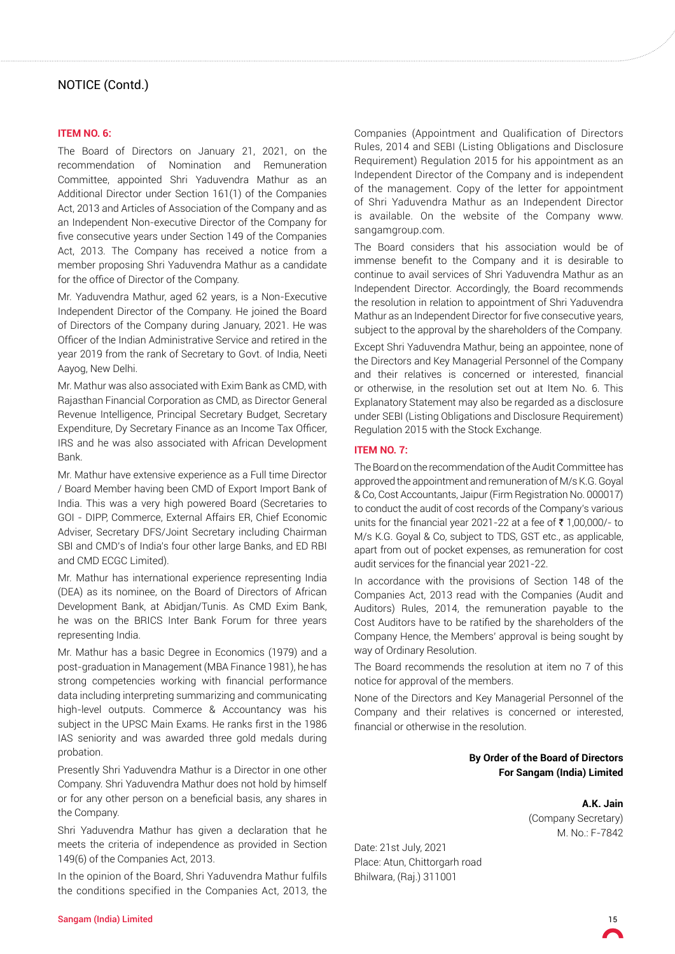#### **ITEM NO. 6:**

The Board of Directors on January 21, 2021, on the recommendation of Nomination and Remuneration Committee, appointed Shri Yaduvendra Mathur as an Additional Director under Section 161(1) of the Companies Act, 2013 and Articles of Association of the Company and as an Independent Non-executive Director of the Company for five consecutive years under Section 149 of the Companies Act, 2013. The Company has received a notice from a member proposing Shri Yaduvendra Mathur as a candidate for the office of Director of the Company.

Mr. Yaduvendra Mathur, aged 62 years, is a Non-Executive Independent Director of the Company. He joined the Board of Directors of the Company during January, 2021. He was Officer of the Indian Administrative Service and retired in the year 2019 from the rank of Secretary to Govt. of India, Neeti Aayog, New Delhi.

Mr. Mathur was also associated with Exim Bank as CMD, with Rajasthan Financial Corporation as CMD, as Director General Revenue Intelligence, Principal Secretary Budget, Secretary Expenditure, Dy Secretary Finance as an Income Tax Officer, IRS and he was also associated with African Development Bank.

Mr. Mathur have extensive experience as a Full time Director / Board Member having been CMD of Export Import Bank of India. This was a very high powered Board (Secretaries to GOI - DIPP, Commerce, External Affairs ER, Chief Economic Adviser, Secretary DFS/Joint Secretary including Chairman SBI and CMD's of India's four other large Banks, and ED RBI and CMD ECGC Limited).

Mr. Mathur has international experience representing India (DEA) as its nominee, on the Board of Directors of African Development Bank, at Abidjan/Tunis. As CMD Exim Bank, he was on the BRICS Inter Bank Forum for three years representing India.

Mr. Mathur has a basic Degree in Economics (1979) and a post-graduation in Management (MBA Finance 1981), he has strong competencies working with financial performance data including interpreting summarizing and communicating high-level outputs. Commerce & Accountancy was his subject in the UPSC Main Exams. He ranks first in the 1986 IAS seniority and was awarded three gold medals during probation.

Presently Shri Yaduvendra Mathur is a Director in one other Company. Shri Yaduvendra Mathur does not hold by himself or for any other person on a beneficial basis, any shares in the Company.

Shri Yaduvendra Mathur has given a declaration that he meets the criteria of independence as provided in Section 149(6) of the Companies Act, 2013.

In the opinion of the Board, Shri Yaduvendra Mathur fulfils the conditions specified in the Companies Act, 2013, the

Companies (Appointment and Qualification of Directors Rules, 2014 and SEBI (Listing Obligations and Disclosure Requirement) Regulation 2015 for his appointment as an Independent Director of the Company and is independent of the management. Copy of the letter for appointment of Shri Yaduvendra Mathur as an Independent Director is available. On the website of the Company www. sangamgroup.com.

The Board considers that his association would be of immense benefit to the Company and it is desirable to continue to avail services of Shri Yaduvendra Mathur as an Independent Director. Accordingly, the Board recommends the resolution in relation to appointment of Shri Yaduvendra Mathur as an Independent Director for five consecutive years, subject to the approval by the shareholders of the Company.

Except Shri Yaduvendra Mathur, being an appointee, none of the Directors and Key Managerial Personnel of the Company and their relatives is concerned or interested, financial or otherwise, in the resolution set out at Item No. 6. This Explanatory Statement may also be regarded as a disclosure under SEBI (Listing Obligations and Disclosure Requirement) Regulation 2015 with the Stock Exchange.

#### **ITEM NO. 7:**

The Board on the recommendation of the Audit Committee has approved the appointment and remuneration of M/s K.G. Goyal & Co, Cost Accountants, Jaipur (Firm Registration No. 000017) to conduct the audit of cost records of the Company's various units for the financial year 2021-22 at a fee of  $\bar{\tau}$  1,00,000/- to M/s K.G. Goyal & Co, subject to TDS, GST etc., as applicable, apart from out of pocket expenses, as remuneration for cost audit services for the financial year 2021-22.

In accordance with the provisions of Section 148 of the Companies Act, 2013 read with the Companies (Audit and Auditors) Rules, 2014, the remuneration payable to the Cost Auditors have to be ratified by the shareholders of the Company Hence, the Members' approval is being sought by way of Ordinary Resolution.

The Board recommends the resolution at item no 7 of this notice for approval of the members.

None of the Directors and Key Managerial Personnel of the Company and their relatives is concerned or interested, financial or otherwise in the resolution.

> **By Order of the Board of Directors For Sangam (India) Limited**

> > **A.K. Jain** (Company Secretary) M. No.: F-7842

Date: 21st July, 2021 Place: Atun, Chittorgarh road Bhilwara, (Raj.) 311001